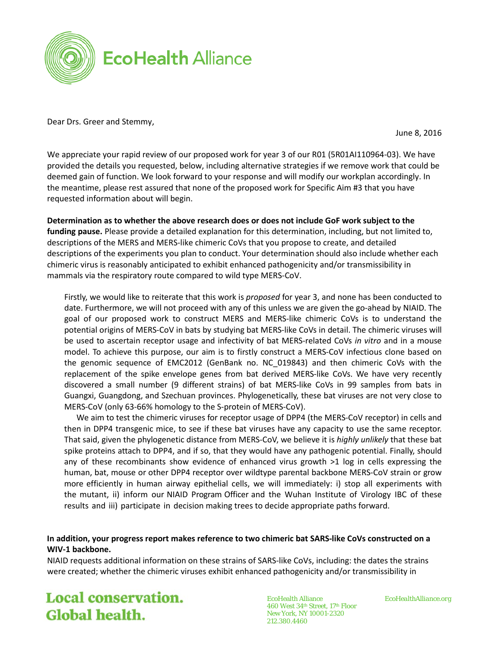

Dear Drs. Greer and Stemmy,

June 8, 2016

We appreciate your rapid review of our proposed work for year 3 of our R01 (5R01AI110964-03). We have provided the details you requested, below, including alternative strategies if we remove work that could be deemed gain of function. We look forward to your response and will modify our workplan accordingly. In the meantime, please rest assured that none of the proposed work for Specific Aim #3 that you have requested information about will begin.

**Determination as to whether the above research does or does not include GoF work subject to the funding pause.** Please provide a detailed explanation for this determination, including, but not limited to, descriptions of the MERS and MERS-like chimeric CoVs that you propose to create, and detailed descriptions of the experiments you plan to conduct. Your determination should also include whether each chimeric virus is reasonably anticipated to exhibit enhanced pathogenicity and/or transmissibility in mammals via the respiratory route compared to wild type MERS-CoV.

Firstly, we would like to reiterate that this work is *proposed* for year 3, and none has been conducted to date. Furthermore, we will not proceed with any of this unless we are given the go-ahead by NIAID. The goal of our proposed work to construct MERS and MERS-like chimeric CoVs is to understand the potential origins of MERS-CoV in bats by studying bat MERS-like CoVs in detail. The chimeric viruses will be used to ascertain receptor usage and infectivity of bat MERS-related CoVs *in vitro* and in a mouse model. To achieve this purpose, our aim is to firstly construct a MERS-CoV infectious clone based on the genomic sequence of EMC2012 (GenBank no. NC\_019843) and then chimeric CoVs with the replacement of the spike envelope genes from bat derived MERS-like CoVs. We have very recently discovered a small number (9 different strains) of bat MERS-like CoVs in 99 samples from bats in Guangxi, Guangdong, and Szechuan provinces. Phylogenetically, these bat viruses are not very close to MERS-CoV (only 63-66% homology to the S-protein of MERS-CoV).

We aim to test the chimeric viruses for receptor usage of DPP4 (the MERS-CoV receptor) in cells and then in DPP4 transgenic mice, to see if these bat viruses have any capacity to use the same receptor. That said, given the phylogenetic distance from MERS-CoV, we believe it is *highly unlikely* that these bat spike proteins attach to DPP4, and if so, that they would have any pathogenic potential. Finally, should any of these recombinants show evidence of enhanced virus growth >1 log in cells expressing the human, bat, mouse or other DPP4 receptor over wildtype parental backbone MERS-CoV strain or grow more efficiently in human airway epithelial cells, we will immediately: i) stop all experiments with the mutant, ii) inform our NIAID Program Officer and the Wuhan Institute of Virology IBC of these results and iii) participate in decision making trees to decide appropriate paths forward.

## **In addition, your progress report makes reference to two chimeric bat SARS-like CoVs constructed on a WIV-1 backbone.**

NIAID requests additional information on these strains of SARS-like CoVs, including: the dates the strains were created; whether the chimeric viruses exhibit enhanced pathogenicity and/or transmissibility in

**Local conservation.** Global health.

EcoHealth Alliance *EcoHealthAlliance.org* 460 West 34th Street, 17th Floor New York, NY 10001-2320 212.380.4460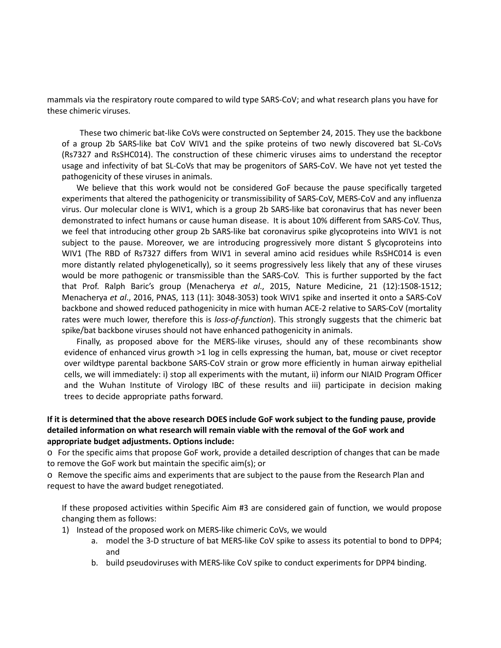mammals via the respiratory route compared to wild type SARS-CoV; and what research plans you have for these chimeric viruses.

These two chimeric bat-like CoVs were constructed on September 24, 2015. They use the backbone of a group 2b SARS-like bat CoV WIV1 and the spike proteins of two newly discovered bat SL-CoVs (Rs7327 and RsSHC014). The construction of these chimeric viruses aims to understand the receptor usage and infectivity of bat SL-CoVs that may be progenitors of SARS-CoV. We have not yet tested the pathogenicity of these viruses in animals.

We believe that this work would not be considered GoF because the pause specifically targeted experiments that altered the pathogenicity or transmissibility of SARS-CoV, MERS-CoV and any influenza virus. Our molecular clone is WIV1, which is a group 2b SARS-like bat coronavirus that has never been demonstrated to infect humans or cause human disease. It is about 10% different from SARS-CoV. Thus, we feel that introducing other group 2b SARS-like bat coronavirus spike glycoproteins into WIV1 is not subject to the pause. Moreover, we are introducing progressively more distant S glycoproteins into WIV1 (The RBD of Rs7327 differs from WIV1 in several amino acid residues while RsSHC014 is even more distantly related phylogenetically), so it seems progressively less likely that any of these viruses would be more pathogenic or transmissible than the SARS-CoV. This is further supported by the fact that Prof. Ralph Baric's group (Menacherya *et al*., 2015, Nature Medicine, 21 (12):1508-1512; Menacherya *et al*., 2016, PNAS, 113 (11): 3048-3053) took WIV1 spike and inserted it onto a SARS-CoV backbone and showed reduced pathogenicity in mice with human ACE-2 relative to SARS-CoV (mortality rates were much lower, therefore this is *loss-of-function*). This strongly suggests that the chimeric bat spike/bat backbone viruses should not have enhanced pathogenicity in animals.

Finally, as proposed above for the MERS-like viruses, should any of these recombinants show evidence of enhanced virus growth >1 log in cells expressing the human, bat, mouse or civet receptor over wildtype parental backbone SARS-CoV strain or grow more efficiently in human airway epithelial cells, we will immediately: i) stop all experiments with the mutant, ii) inform our NIAID Program Officer and the Wuhan Institute of Virology IBC of these results and iii) participate in decision making trees to decide appropriate paths forward.

## **If it is determined that the above research DOES include GoF work subject to the funding pause, provide detailed information on what research will remain viable with the removal of the GoF work and appropriate budget adjustments. Options include:**

o For the specific aims that propose GoF work, provide a detailed description of changes that can be made to remove the GoF work but maintain the specific aim(s); or

o Remove the specific aims and experiments that are subject to the pause from the Research Plan and request to have the award budget renegotiated.

If these proposed activities within Specific Aim #3 are considered gain of function, we would propose changing them as follows:

- 1) Instead of the proposed work on MERS-like chimeric CoVs, we would
	- a. model the 3-D structure of bat MERS-like CoV spike to assess its potential to bond to DPP4; and
	- b. build pseudoviruses with MERS-like CoV spike to conduct experiments for DPP4 binding.